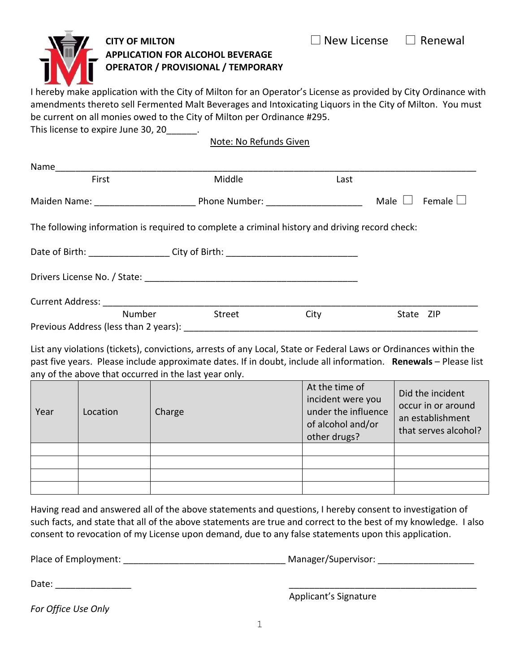## **CITY OF MILTON CITY OF MILTON APPLICATION FOR ALCOHOL BEVERAGE OPERATOR / PROVISIONAL / TEMPORARY**

I hereby make application with the City of Milton for an Operator's License as provided by City Ordinance with amendments thereto sell Fermented Malt Beverages and Intoxicating Liquors in the City of Milton. You must be current on all monies owed to the City of Milton per Ordinance #295.

This license to expire June 30, 20\_\_\_\_\_\_.

Note: No Refunds Given

| Name                                                                                           |        |               |                                     |           |               |
|------------------------------------------------------------------------------------------------|--------|---------------|-------------------------------------|-----------|---------------|
| First                                                                                          |        | Middle        | Last                                |           |               |
|                                                                                                |        |               | Phone Number: _____________________ | Male      | Female $\Box$ |
| The following information is required to complete a criminal history and driving record check: |        |               |                                     |           |               |
| Date of Birth: ______________________City of Birth: ____________________________               |        |               |                                     |           |               |
|                                                                                                |        |               |                                     |           |               |
|                                                                                                |        |               |                                     |           |               |
|                                                                                                | Number | <b>Street</b> | City                                | State ZIP |               |
| Previous Address (less than 2 years):                                                          |        |               |                                     |           |               |

List any violations (tickets), convictions, arrests of any Local, State or Federal Laws or Ordinances within the past five years. Please include approximate dates. If in doubt, include all information. **Renewals** – Please list any of the above that occurred in the last year only.

| Year | Location | Charge | At the time of<br>incident were you<br>under the influence<br>of alcohol and/or<br>other drugs? | Did the incident<br>occur in or around<br>an establishment<br>that serves alcohol? |
|------|----------|--------|-------------------------------------------------------------------------------------------------|------------------------------------------------------------------------------------|
|      |          |        |                                                                                                 |                                                                                    |
|      |          |        |                                                                                                 |                                                                                    |
|      |          |        |                                                                                                 |                                                                                    |
|      |          |        |                                                                                                 |                                                                                    |

Having read and answered all of the above statements and questions, I hereby consent to investigation of such facts, and state that all of the above statements are true and correct to the best of my knowledge. I also consent to revocation of my License upon demand, due to any false statements upon this application.

Place of Employment: \_\_\_\_\_\_\_\_\_\_\_\_\_\_\_\_\_\_\_\_\_\_\_\_\_\_\_\_\_\_\_\_ Manager/Supervisor: \_\_\_\_\_\_\_\_\_\_\_\_\_\_\_\_\_\_\_

Date: \_\_\_\_\_\_\_\_\_\_\_\_\_\_\_ \_\_\_\_\_\_\_\_\_\_\_\_\_\_\_\_\_\_\_\_\_\_\_\_\_\_\_\_\_\_\_\_\_\_\_\_\_

Applicant's Signature

*For Office Use Only*